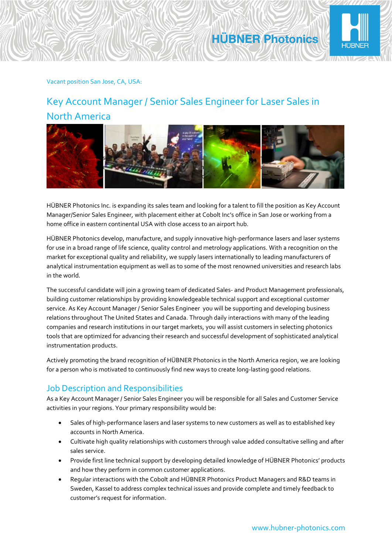

#### Vacant position San Jose, CA, USA:

## Key Account Manager / Senior Sales Engineer for Laser Sales in North America



HÜBNER Photonics Inc. is expanding its sales team and looking for a talent to fill the position as Key Account Manager/Senior Sales Engineer, with placement either at Cobolt Inc's office in San Jose or working from a home office in eastern continental USA with close access to an airport hub.

HÜBNER Photonics develop, manufacture, and supply innovative high-performance lasers and laser systems for use in a broad range of life science, quality control and metrology applications. With a recognition on the market for exceptional quality and reliability, we supply lasers internationally to leading manufacturers of analytical instrumentation equipment as well as to some of the most renowned universities and research labs in the world.

The successful candidate will join a growing team of dedicated Sales- and Product Management professionals, building customer relationships by providing knowledgeable technical support and exceptional customer service. As Key Account Manager / Senior Sales Engineer you will be supporting and developing business relations throughout The United States and Canada. Through daily interactions with many of the leading companies and research institutions in our target markets, you will assist customers in selecting photonics tools that are optimized for advancing their research and successful development of sophisticated analytical instrumentation products.

Actively promoting the brand recognition of HÜBNER Photonics in the North America region, we are looking for a person who is motivated to continuously find new ways to create long-lasting good relations.

#### Job Description and Responsibilities

As a Key Account Manager / Senior Sales Engineer you will be responsible for all Sales and Customer Service activities in your regions. Your primary responsibility would be:

- Sales of high-performance lasers and laser systems to new customers as well as to established key accounts in North America.
- Cultivate high quality relationships with customers through value added consultative selling and after sales service.
- Provide first line technical support by developing detailed knowledge of HÜBNER Photonics' products and how they perform in common customer applications.
- Regular interactions with the Cobolt and HÜBNER Photonics Product Managers and R&D teams in Sweden, Kassel to address complex technical issues and provide complete and timely feedback to customer's request for information.